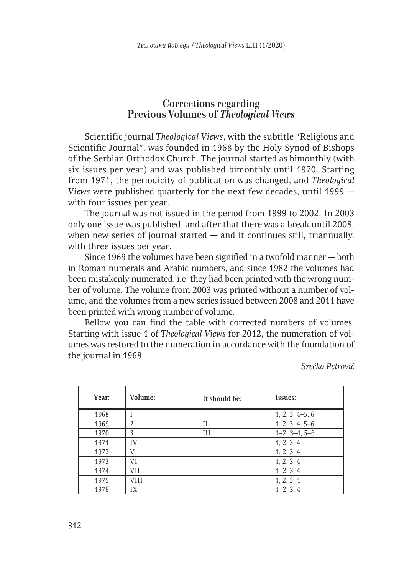## **Corrections regarding Previous Volumes of** *Theological Views*

Scientific journal *Theological Views*, with the subtitle "Religious and Scientific Journal", was founded in 1968 by the Holy Synod of Bishops of the Serbian Orthodox Church. The journal started as bimonthly (with six issues per year) and was published bimonthly until 1970. Starting from 1971, the periodicity of publication was changed, and *Theological Views* were published quarterly for the next few decades, until 1999 with four issues per year.

The journal was not issued in the period from 1999 to 2002. In 2003 only one issue was published, and after that there was a break until 2008, when new series of journal started  $-$  and it continues still, triannually, with three issues per year.

Since 1969 the volumes have been signified in a twofold manner — both in Roman numerals and Arabic numbers, and since 1982 the volumes had been mistakenly numerated, i.e. they had been printed with the wrong number of volume. The volume from 2003 was printed without a number of volume, and the volumes from a new series issued between 2008 and 2011 have been printed with wrong number of volume.

Bellow you can find the table with corrected numbers of volumes. Starting with issue 1 of *Theological Views* for 2012, the numeration of volumes was restored to the numeration in accordance with the foundation of the journal in 1968.

*Srećko Petrović*

| Year: | Volume:     | It should be: | Issues:           |
|-------|-------------|---------------|-------------------|
| 1968  |             |               | $1, 2, 3, 4-5, 6$ |
| 1969  | 2           | П             | $1, 2, 3, 4, 5-6$ |
| 1970  | 3           | Ш             | $1-2, 3-4, 5-6$   |
| 1971  | IV          |               | 1, 2, 3, 4        |
| 1972  | V           |               | 1, 2, 3, 4        |
| 1973  | VI          |               | 1, 2, 3, 4        |
| 1974  | VII         |               | $1-2, 3, 4$       |
| 1975  | <b>VIII</b> |               | 1, 2, 3, 4        |
| 1976  | IX          |               | $1-2, 3, 4$       |

312